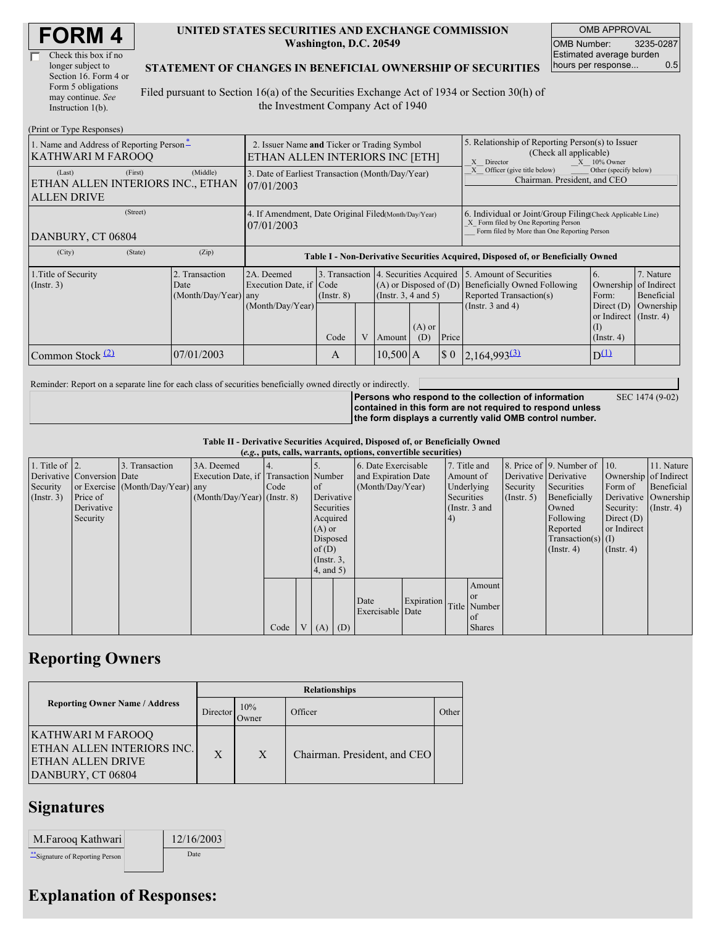| <b>FORM4</b> |
|--------------|
|--------------|

| Check this box if no  |
|-----------------------|
| longer subject to     |
| Section 16. Form 4 or |
| Form 5 obligations    |
| may continue. See     |
| Instruction $1(b)$ .  |

 $(Drint or TrmaBe)$ 

#### **UNITED STATES SECURITIES AND EXCHANGE COMMISSION Washington, D.C. 20549**

OMB APPROVAL OMB Number: 3235-0287 Estimated average burden hours per response... 0.5

### **STATEMENT OF CHANGES IN BENEFICIAL OWNERSHIP OF SECURITIES**

Filed pursuant to Section 16(a) of the Securities Exchange Act of 1934 or Section 30(h) of the Investment Company Act of 1940

| $(1 \text{ min of 1 ypc respectively})$<br>1. Name and Address of Reporting Person-<br><b>KATHWARI M FAROOQ</b> | 2. Issuer Name and Ticker or Trading Symbol<br>ETHAN ALLEN INTERIORS INC [ETH] |                                                           |                                                                                  |   |                   |                                                    | 5. Relationship of Reporting Person(s) to Issuer<br>(Check all applicable)<br>$X = 10\%$ Owner<br>X Director                                       |                                                                                                                                                          |                                                                    |                                                     |
|-----------------------------------------------------------------------------------------------------------------|--------------------------------------------------------------------------------|-----------------------------------------------------------|----------------------------------------------------------------------------------|---|-------------------|----------------------------------------------------|----------------------------------------------------------------------------------------------------------------------------------------------------|----------------------------------------------------------------------------------------------------------------------------------------------------------|--------------------------------------------------------------------|-----------------------------------------------------|
| (First)<br>(Last)<br>ETHAN ALLEN INTERIORS INC., ETHAN<br><b>ALLEN DRIVE</b>                                    | (Middle)                                                                       | 07/01/2003                                                | 3. Date of Earliest Transaction (Month/Day/Year)                                 |   |                   |                                                    |                                                                                                                                                    | Officer (give title below)<br>Other (specify below)<br>Chairman. President, and CEO                                                                      |                                                                    |                                                     |
| (Street)<br>DANBURY, CT 06804                                                                                   | 4. If Amendment, Date Original Filed(Month/Day/Year)<br>07/01/2003             |                                                           |                                                                                  |   |                   |                                                    | 6. Individual or Joint/Group Filing Check Applicable Line)<br>X Form filed by One Reporting Person<br>Form filed by More than One Reporting Person |                                                                                                                                                          |                                                                    |                                                     |
| (City)<br>(State)                                                                                               | (Zip)                                                                          |                                                           | Table I - Non-Derivative Securities Acquired, Disposed of, or Beneficially Owned |   |                   |                                                    |                                                                                                                                                    |                                                                                                                                                          |                                                                    |                                                     |
| 1. Title of Security<br>(Insert. 3)                                                                             | 2. Transaction<br>Date<br>(Month/Day/Year) any                                 | 2A. Deemed<br>Execution Date, if Code<br>(Month/Day/Year) | $($ Instr. $8)$                                                                  |   |                   | $(A)$ or Disposed of $(D)$<br>(Insert. 3, 4 and 5) |                                                                                                                                                    | 3. Transaction 4. Securities Acquired 5. Amount of Securities<br><b>Beneficially Owned Following</b><br>Reported Transaction(s)<br>(Instr. $3$ and $4$ ) | Ownership<br>Form:<br>Direct $(D)$<br>or Indirect $($ Instr. 4 $)$ | 7. Nature<br>of Indirect<br>Beneficial<br>Ownership |
|                                                                                                                 |                                                                                |                                                           | Code                                                                             | V | Amount            | $(A)$ or<br>(D)                                    | Price                                                                                                                                              |                                                                                                                                                          | $($ Instr. 4 $)$                                                   |                                                     |
| Common Stock $(2)$                                                                                              | 07/01/2003                                                                     |                                                           | $10,500$ A<br>$\boldsymbol{\mathsf{S}}$ 0<br>A                                   |   | $2,164,993^{(3)}$ | $D^{(1)}$                                          |                                                                                                                                                    |                                                                                                                                                          |                                                                    |                                                     |

Reminder: Report on a separate line for each class of securities beneficially owned directly or indirectly.

SEC 1474 (9-02)

**Persons who respond to the collection of information contained in this form are not required to respond unless the form displays a currently valid OMB control number.**

**Table II - Derivative Securities Acquired, Disposed of, or Beneficially Owned (***e.g.***, puts, calls, warrants, options, convertible securities)**

|                        | $(c, g, \mu u, \alpha u)$ , wai rants, options, convertible securities |                                  |                                       |      |                |                 |            |                     |            |            |                 |                       |                              |                       |                      |
|------------------------|------------------------------------------------------------------------|----------------------------------|---------------------------------------|------|----------------|-----------------|------------|---------------------|------------|------------|-----------------|-----------------------|------------------------------|-----------------------|----------------------|
| 1. Title of $\vert$ 2. |                                                                        | 3. Transaction                   | 3A. Deemed                            |      |                |                 |            | 6. Date Exercisable |            |            | 7. Title and    |                       | 8. Price of 9. Number of 10. |                       | 11. Nature           |
|                        | Derivative Conversion Date                                             |                                  | Execution Date, if Transaction Number |      |                |                 |            | and Expiration Date |            | Amount of  |                 | Derivative Derivative |                              | Ownership of Indirect |                      |
| Security               |                                                                        | or Exercise (Month/Day/Year) any |                                       | Code |                | $\circ$ f       |            | (Month/Day/Year)    |            |            | Underlying      | Security              | Securities                   | Form of               | Beneficial           |
| $($ Instr. 3 $)$       | Price of                                                               |                                  | $(Month/Day/Year)$ (Instr. 8)         |      |                |                 | Derivative |                     |            | Securities |                 | $($ Instr. 5 $)$      | Beneficially                 |                       | Derivative Ownership |
|                        | Derivative                                                             |                                  |                                       |      |                | Securities      |            |                     |            |            | (Instr. $3$ and |                       | Owned                        | Security:             | $($ Instr. 4 $)$     |
|                        | Security                                                               |                                  |                                       |      |                | Acquired        |            |                     |            | (4)        |                 |                       | Following                    | Direct $(D)$          |                      |
|                        |                                                                        |                                  |                                       |      |                | $(A)$ or        |            |                     |            |            |                 |                       | Reported                     | or Indirect           |                      |
|                        |                                                                        |                                  |                                       |      |                | Disposed        |            |                     |            |            |                 |                       | Transaction(s) $(I)$         |                       |                      |
|                        |                                                                        |                                  |                                       |      |                | of $(D)$        |            |                     |            |            |                 |                       | $($ Instr. 4 $)$             | $($ Instr. 4 $)$      |                      |
|                        |                                                                        |                                  |                                       |      |                | $($ Instr. $3,$ |            |                     |            |            |                 |                       |                              |                       |                      |
|                        |                                                                        |                                  |                                       |      |                | 4, and 5)       |            |                     |            |            |                 |                       |                              |                       |                      |
|                        |                                                                        |                                  |                                       |      |                |                 |            |                     |            |            | Amount          |                       |                              |                       |                      |
|                        |                                                                        |                                  |                                       |      |                |                 |            | Date                | Expiration |            | or or           |                       |                              |                       |                      |
|                        |                                                                        |                                  |                                       |      |                |                 |            | Exercisable Date    |            |            | Title Number    |                       |                              |                       |                      |
|                        |                                                                        |                                  |                                       |      |                |                 |            |                     |            |            | of              |                       |                              |                       |                      |
|                        |                                                                        |                                  |                                       | Code | V <sub>1</sub> | $(A)$ $(D)$     |            |                     |            |            | <b>Shares</b>   |                       |                              |                       |                      |

## **Reporting Owners**

|                                                                                                                 | <b>Relationships</b> |              |                              |       |  |  |  |  |  |  |
|-----------------------------------------------------------------------------------------------------------------|----------------------|--------------|------------------------------|-------|--|--|--|--|--|--|
| <b>Reporting Owner Name / Address</b>                                                                           | Director             | 10%<br>Owner | Officer                      | Other |  |  |  |  |  |  |
| <b>KATHWARI M FAROOQ</b><br><b>ETHAN ALLEN INTERIORS INC.</b><br><b>IETHAN ALLEN DRIVE</b><br>DANBURY, CT 06804 | X                    | X            | Chairman. President, and CEO |       |  |  |  |  |  |  |

### **Signatures**

| M.Farooq Kathwari                | 12/16/2003 |
|----------------------------------|------------|
| ** Signature of Reporting Person | Date       |

# **Explanation of Responses:**